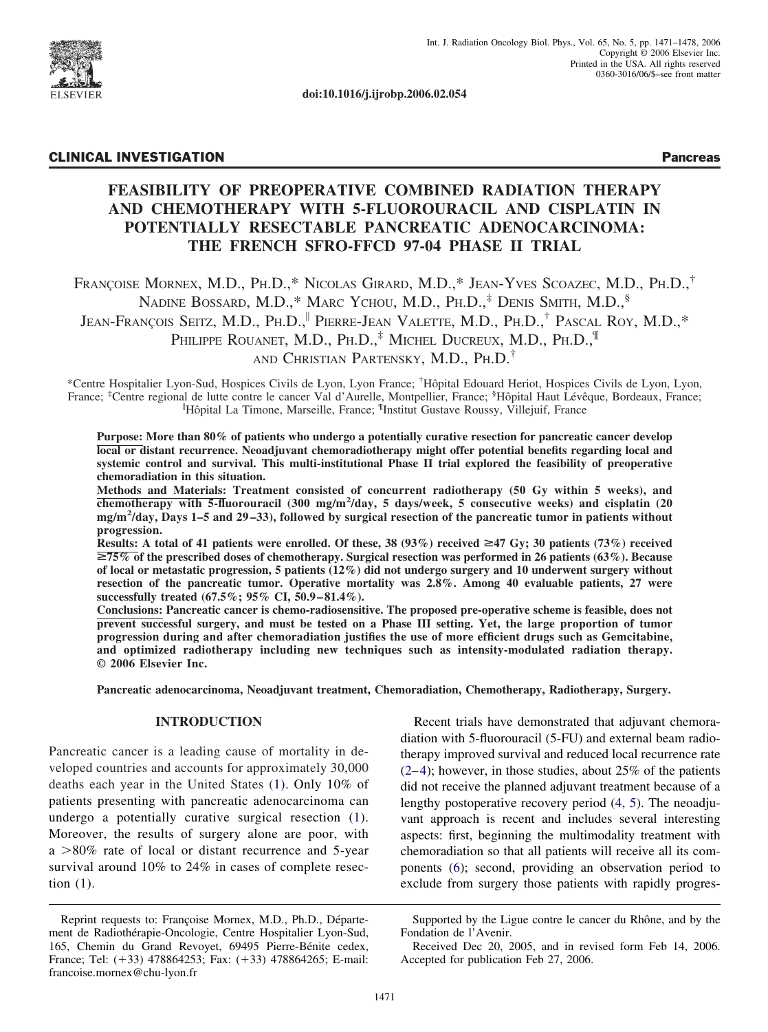

**doi:10.1016/j.ijrobp.2006.02.054**

# CLINICAL INVESTIGATION Pancreas

# **FEASIBILITY OF PREOPERATIVE COMBINED RADIATION THERAPY AND CHEMOTHERAPY WITH 5-FLUOROURACIL AND CISPLATIN IN POTENTIALLY RESECTABLE PANCREATIC ADENOCARCINOMA: THE FRENCH SFRO-FFCD 97-04 PHASE II TRIAL**

FRANÇOISE MORNEX, M.D., PH.D.,\* NICOLAS GIRARD, M.D.,\* JEAN-YVES SCOAZEC, M.D., PH.D.,† NADINE BOSSARD, M.D.,\* MARC YCHOU, M.D., PH.D.,<sup>‡</sup> DENIS SMITH, M.D.,<sup>§</sup> JEAN-FRANÇOIS SEITZ, M.D., PH.D.,<sup>11</sup> PIERRE-JEAN VALETTE, M.D., PH.D.,<sup>†</sup> PASCAL ROY, M.D.,\* PHILIPPE ROUANET, M.D., PH.D.,<sup>‡</sup> MICHEL DUCREUX, M.D., PH.D.,<sup>¶</sup> AND CHRISTIAN PARTENSKY, M.D., PH.D.†

\*Centre Hospitalier Lyon-Sud, Hospices Civils de Lyon, Lyon France; † Hôpital Edouard Heriot, Hospices Civils de Lyon, Lyon, France; <sup>‡</sup>Centre regional de lutte contre le cancer Val d'Aurelle, Montpellier, France; <sup>§</sup>Hôpital Haut Lévêque, Bordeaux, France; <sup>||</sup>Hôpital La Timone, Marseille, France; <sup>¶</sup>Institut Gustave Roussy, Villejuif, France

**Purpose: More than 80% of patients who undergo a potentially curative resection for pancreatic cancer develop local or distant recurrence. Neoadjuvant chemoradiotherapy might offer potential benefits regarding local and systemic control and survival. This multi-institutional Phase II trial explored the feasibility of preoperative chemoradiation in this situation.**

**Methods and Materials: Treatment consisted of concurrent radiotherapy (50 Gy within 5 weeks), and chemotherapy with 5-fluorouracil (300 mg/m<sup>2</sup> /day, 5 days/week, 5 consecutive weeks) and cisplatin (20 mg/m<sup>2</sup> /day, Days 1–5 and 29 –33), followed by surgical resection of the pancreatic tumor in patients without progression.**

**Results:** A total of 41 patients were enrolled. Of these, 38 (93%) received  $\geq$ 47 Gy; 30 patients (73%) received >**75% of the prescribed doses of chemotherapy. Surgical resection was performed in 26 patients (63%). Because of local or metastatic progression, 5 patients (12%) did not undergo surgery and 10 underwent surgery without resection of the pancreatic tumor. Operative mortality was 2.8%. Among 40 evaluable patients, 27 were successfully treated (67.5%; 95% CI, 50.9 – 81.4%).**

**Conclusions: Pancreatic cancer is chemo-radiosensitive. The proposed pre-operative scheme is feasible, does not prevent successful surgery, and must be tested on a Phase III setting. Yet, the large proportion of tumor progression during and after chemoradiation justifies the use of more efficient drugs such as Gemcitabine, and optimized radiotherapy including new techniques such as intensity-modulated radiation therapy. © 2006 Elsevier Inc.**

**Pancreatic adenocarcinoma, Neoadjuvant treatment, Chemoradiation, Chemotherapy, Radiotherapy, Surgery.**

# **INTRODUCTION**

Pancreatic cancer is a leading cause of mortality in developed countries and accounts for approximately 30,000 deaths each year in the United States [\(1\)](#page-6-0). Only 10% of patients presenting with pancreatic adenocarcinoma can undergo a potentially curative surgical resection [\(1\)](#page-6-0). Moreover, the results of surgery alone are poor, with  $a > 80\%$  rate of local or distant recurrence and 5-year survival around 10% to 24% in cases of complete resection [\(1\)](#page-6-0).

Recent trials have demonstrated that adjuvant chemoradiation with 5-fluorouracil (5-FU) and external beam radiotherapy improved survival and reduced local recurrence rate  $(2-4)$ ; however, in those studies, about 25% of the patients did not receive the planned adjuvant treatment because of a lengthy postoperative recovery period [\(4, 5\)](#page-6-0). The neoadjuvant approach is recent and includes several interesting aspects: first, beginning the multimodality treatment with chemoradiation so that all patients will receive all its components [\(6\)](#page-6-0); second, providing an observation period to exclude from surgery those patients with rapidly progres-

Reprint requests to: Françoise Mornex, M.D., Ph.D., Département de Radiothérapie-Oncologie, Centre Hospitalier Lyon-Sud, 165, Chemin du Grand Revoyet, 69495 Pierre-Bénite cedex, France; Tel: (+33) 478864253; Fax: (+33) 478864265; E-mail: francoise.mornex@chu-lyon.fr

Supported by the Ligue contre le cancer du Rhône, and by the Fondation de l'Avenir.

Received Dec 20, 2005, and in revised form Feb 14, 2006. Accepted for publication Feb 27, 2006.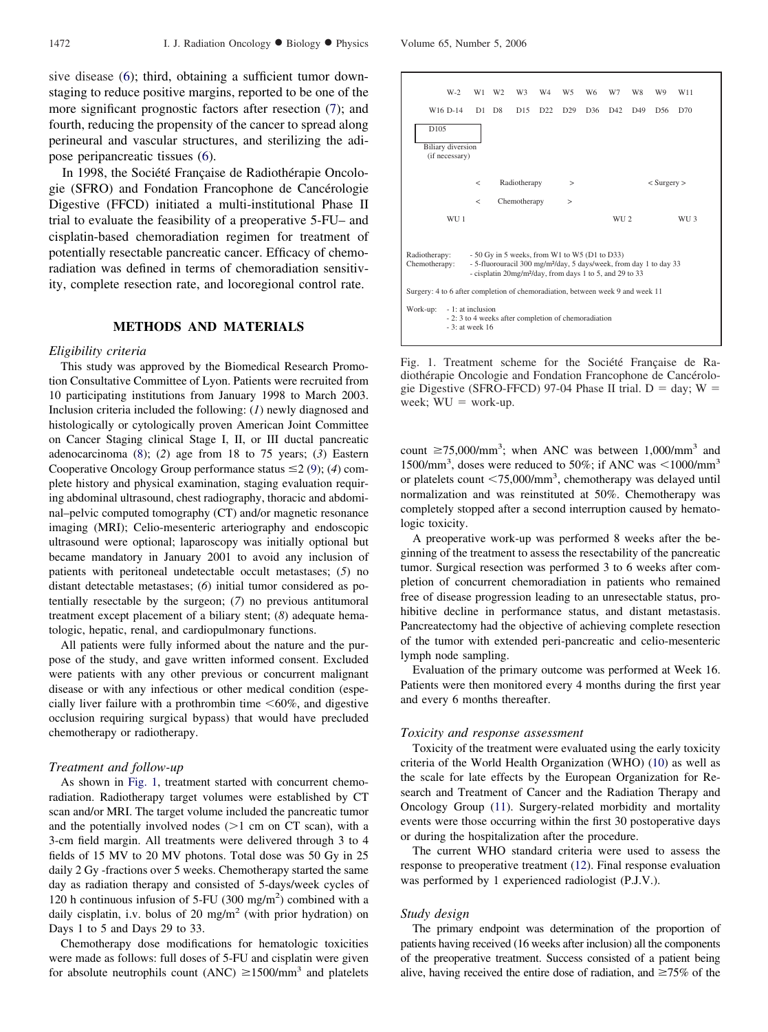sive disease [\(6\)](#page-6-0); third, obtaining a sufficient tumor downstaging to reduce positive margins, reported to be one of the more significant prognostic factors after resection [\(7\)](#page-6-0); and fourth, reducing the propensity of the cancer to spread along perineural and vascular structures, and sterilizing the adipose peripancreatic tissues [\(6\)](#page-6-0).

In 1998, the Société Française de Radiothérapie Oncologie (SFRO) and Fondation Francophone de Cancérologie Digestive (FFCD) initiated a multi-institutional Phase II trial to evaluate the feasibility of a preoperative 5-FU– and cisplatin-based chemoradiation regimen for treatment of potentially resectable pancreatic cancer. Efficacy of chemoradiation was defined in terms of chemoradiation sensitivity, complete resection rate, and locoregional control rate.

## **METHODS AND MATERIALS**

#### *Eligibility criteria*

This study was approved by the Biomedical Research Promotion Consultative Committee of Lyon. Patients were recruited from 10 participating institutions from January 1998 to March 2003. Inclusion criteria included the following: (*1*) newly diagnosed and histologically or cytologically proven American Joint Committee on Cancer Staging clinical Stage I, II, or III ductal pancreatic adenocarcinoma [\(8\)](#page-6-0); (*2*) age from 18 to 75 years; (*3*) Eastern Cooperative Oncology Group performance status  $\leq$  2 [\(9\)](#page-6-0); (4) complete history and physical examination, staging evaluation requiring abdominal ultrasound, chest radiography, thoracic and abdominal–pelvic computed tomography (CT) and/or magnetic resonance imaging (MRI); Celio-mesenteric arteriography and endoscopic ultrasound were optional; laparoscopy was initially optional but became mandatory in January 2001 to avoid any inclusion of patients with peritoneal undetectable occult metastases; (*5*) no distant detectable metastases; (*6*) initial tumor considered as potentially resectable by the surgeon; (*7*) no previous antitumoral treatment except placement of a biliary stent; (*8*) adequate hematologic, hepatic, renal, and cardiopulmonary functions.

All patients were fully informed about the nature and the purpose of the study, and gave written informed consent. Excluded were patients with any other previous or concurrent malignant disease or with any infectious or other medical condition (especially liver failure with a prothrombin time  $< 60\%$ , and digestive occlusion requiring surgical bypass) that would have precluded chemotherapy or radiotherapy.

## *Treatment and follow-up*

As shown in Fig. 1, treatment started with concurrent chemoradiation. Radiotherapy target volumes were established by CT scan and/or MRI. The target volume included the pancreatic tumor and the potentially involved nodes  $(>1$  cm on CT scan), with a 3-cm field margin. All treatments were delivered through 3 to 4 fields of 15 MV to 20 MV photons. Total dose was 50 Gy in 25 daily 2 Gy -fractions over 5 weeks. Chemotherapy started the same day as radiation therapy and consisted of 5-days/week cycles of 120 h continuous infusion of 5-FU  $(300 \text{ mg/m}^2)$  combined with a daily cisplatin, i.v. bolus of 20 mg/m<sup>2</sup> (with prior hydration) on Days 1 to 5 and Days 29 to 33.

Chemotherapy dose modifications for hematologic toxicities were made as follows: full doses of 5-FU and cisplatin were given for absolute neutrophils count (ANC)  $\geq$  1500/mm<sup>3</sup> and platelets





Fig. 1. Treatment scheme for the Société Française de Radiothérapie Oncologie and Fondation Francophone de Cancérologie Digestive (SFRO-FFCD) 97-04 Phase II trial.  $D = day$ ; W = week;  $WU = work-up$ .

count  $\geq$ 75,000/mm<sup>3</sup>; when ANC was between 1,000/mm<sup>3</sup> and 1500/mm<sup>3</sup>, doses were reduced to 50%; if ANC was  $\leq$ 1000/mm<sup>3</sup> or platelets count  $\langle 75,000/\text{mm}^3,$  chemotherapy was delayed until normalization and was reinstituted at 50%. Chemotherapy was completely stopped after a second interruption caused by hematologic toxicity.

A preoperative work-up was performed 8 weeks after the beginning of the treatment to assess the resectability of the pancreatic tumor. Surgical resection was performed 3 to 6 weeks after completion of concurrent chemoradiation in patients who remained free of disease progression leading to an unresectable status, prohibitive decline in performance status, and distant metastasis. Pancreatectomy had the objective of achieving complete resection of the tumor with extended peri-pancreatic and celio-mesenteric lymph node sampling.

Evaluation of the primary outcome was performed at Week 16. Patients were then monitored every 4 months during the first year and every 6 months thereafter.

#### *Toxicity and response assessment*

Toxicity of the treatment were evaluated using the early toxicity criteria of the World Health Organization (WHO) [\(10\)](#page-6-0) as well as the scale for late effects by the European Organization for Research and Treatment of Cancer and the Radiation Therapy and Oncology Group [\(11\)](#page-6-0). Surgery-related morbidity and mortality events were those occurring within the first 30 postoperative days or during the hospitalization after the procedure.

The current WHO standard criteria were used to assess the response to preoperative treatment [\(12\)](#page-6-0). Final response evaluation was performed by 1 experienced radiologist (P.J.V.).

#### *Study design*

The primary endpoint was determination of the proportion of patients having received (16 weeks after inclusion) all the components of the preoperative treatment. Success consisted of a patient being alive, having received the entire dose of radiation, and  $\geq 75\%$  of the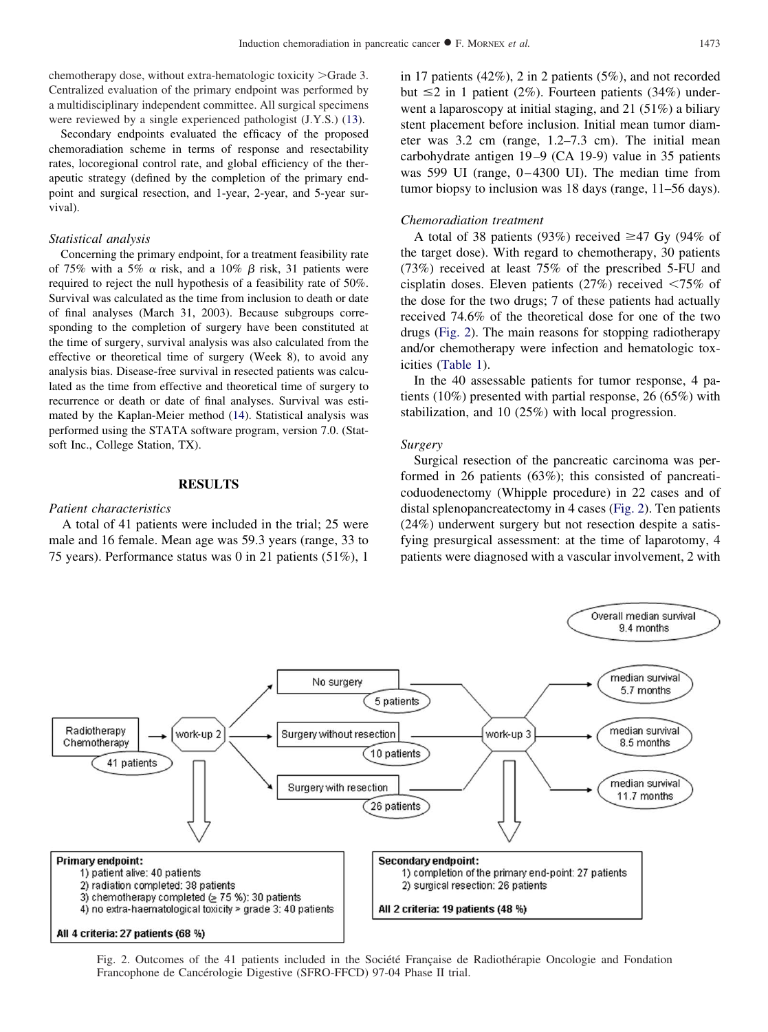<span id="page-2-0"></span>chemotherapy dose, without extra-hematologic toxicity  $>\,$  Grade 3. Centralized evaluation of the primary endpoint was performed by a multidisciplinary independent committee. All surgical specimens were reviewed by a single experienced pathologist (J.Y.S.) [\(13\)](#page-6-0).

Secondary endpoints evaluated the efficacy of the proposed chemoradiation scheme in terms of response and resectability rates, locoregional control rate, and global efficiency of the therapeutic strategy (defined by the completion of the primary endpoint and surgical resection, and 1-year, 2-year, and 5-year survival).

#### *Statistical analysis*

Concerning the primary endpoint, for a treatment feasibility rate of 75% with a 5%  $\alpha$  risk, and a 10%  $\beta$  risk, 31 patients were required to reject the null hypothesis of a feasibility rate of 50%. Survival was calculated as the time from inclusion to death or date of final analyses (March 31, 2003). Because subgroups corresponding to the completion of surgery have been constituted at the time of surgery, survival analysis was also calculated from the effective or theoretical time of surgery (Week 8), to avoid any analysis bias. Disease-free survival in resected patients was calculated as the time from effective and theoretical time of surgery to recurrence or death or date of final analyses. Survival was estimated by the Kaplan-Meier method [\(14\)](#page-6-0). Statistical analysis was performed using the STATA software program, version 7.0. (Statsoft Inc., College Station, TX).

## **RESULTS**

## *Patient characteristics*

A total of 41 patients were included in the trial; 25 were male and 16 female. Mean age was 59.3 years (range, 33 to 75 years). Performance status was 0 in 21 patients (51%), 1

in 17 patients (42%), 2 in 2 patients (5%), and not recorded but  $\leq$  2 in 1 patient (2%). Fourteen patients (34%) underwent a laparoscopy at initial staging, and 21 (51%) a biliary stent placement before inclusion. Initial mean tumor diameter was 3.2 cm (range, 1.2–7.3 cm). The initial mean carbohydrate antigen 19–9 (CA 19-9) value in 35 patients was 599 UI (range, 0–4300 UI). The median time from tumor biopsy to inclusion was 18 days (range, 11–56 days).

## *Chemoradiation treatment*

A total of 38 patients (93%) received  $\geq$ 47 Gy (94% of the target dose). With regard to chemotherapy, 30 patients (73%) received at least 75% of the prescribed 5-FU and cisplatin doses. Eleven patients (27%) received  $\leq 75\%$  of the dose for the two drugs; 7 of these patients had actually received 74.6% of the theoretical dose for one of the two drugs (Fig. 2). The main reasons for stopping radiotherapy and/or chemotherapy were infection and hematologic toxicities [\(Table 1\)](#page-3-0).

In the 40 assessable patients for tumor response, 4 patients (10%) presented with partial response, 26 (65%) with stabilization, and 10 (25%) with local progression.

#### *Surgery*

Surgical resection of the pancreatic carcinoma was performed in 26 patients (63%); this consisted of pancreaticoduodenectomy (Whipple procedure) in 22 cases and of distal splenopancreatectomy in 4 cases (Fig. 2). Ten patients (24%) underwent surgery but not resection despite a satisfying presurgical assessment: at the time of laparotomy, 4 patients were diagnosed with a vascular involvement, 2 with

Overall median survival



Fig. 2. Outcomes of the 41 patients included in the Société Française de Radiothérapie Oncologie and Fondation Francophone de Cancérologie Digestive (SFRO-FFCD) 97-04 Phase II trial.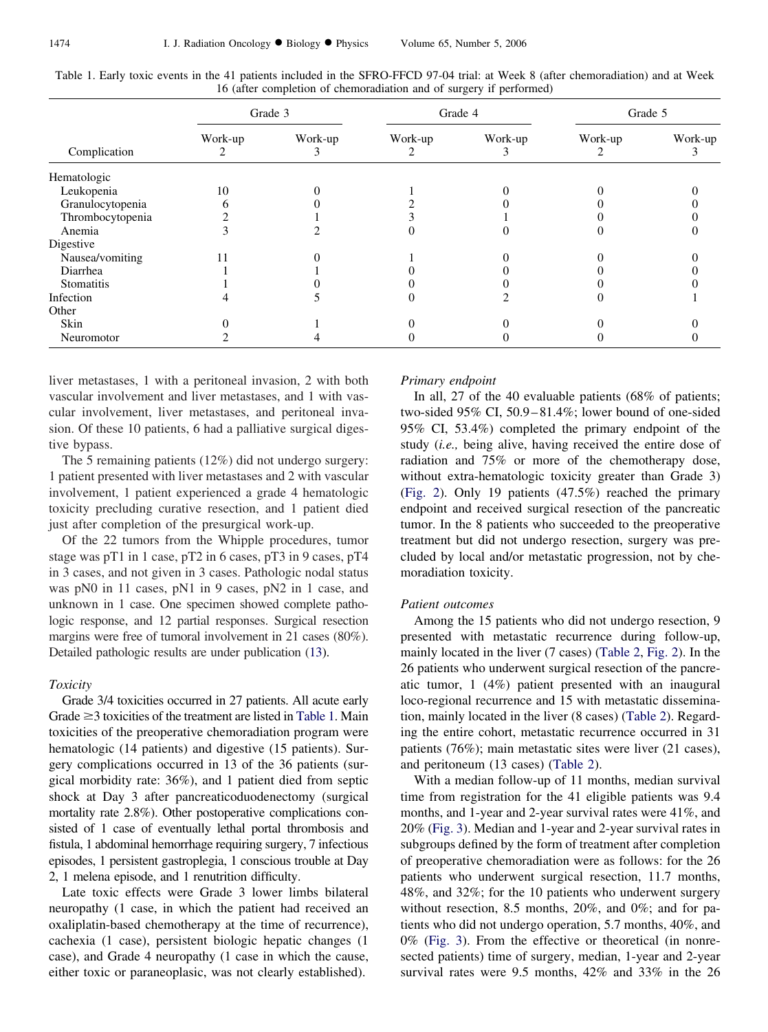|                  |         | Grade 3 |         | Grade 4 |         | Grade 5 |
|------------------|---------|---------|---------|---------|---------|---------|
| Complication     | Work-up | Work-up | Work-up | Work-up | Work-up | Work-up |
| Hematologic      |         |         |         |         |         |         |
| Leukopenia       | 10      |         |         |         |         |         |
| Granulocytopenia |         |         |         |         |         |         |
| Thrombocytopenia |         |         |         |         |         |         |
| Anemia           |         |         |         |         |         |         |
| Digestive        |         |         |         |         |         |         |
| Nausea/vomiting  |         |         |         |         |         |         |
| Diarrhea         |         |         |         |         |         |         |
| Stomatitis       |         |         |         |         |         |         |
| Infection        |         |         |         |         |         |         |
| Other            |         |         |         |         |         |         |
| Skin             |         |         |         |         |         |         |
| Neuromotor       |         |         |         |         |         |         |

<span id="page-3-0"></span>Table 1. Early toxic events in the 41 patients included in the SFRO-FFCD 97-04 trial: at Week 8 (after chemoradiation) and at Week 16 (after completion of chemoradiation and of surgery if performed)

liver metastases, 1 with a peritoneal invasion, 2 with both vascular involvement and liver metastases, and 1 with vascular involvement, liver metastases, and peritoneal invasion. Of these 10 patients, 6 had a palliative surgical digestive bypass.

The 5 remaining patients (12%) did not undergo surgery: 1 patient presented with liver metastases and 2 with vascular involvement, 1 patient experienced a grade 4 hematologic toxicity precluding curative resection, and 1 patient died just after completion of the presurgical work-up.

Of the 22 tumors from the Whipple procedures, tumor stage was pT1 in 1 case, pT2 in 6 cases, pT3 in 9 cases, pT4 in 3 cases, and not given in 3 cases. Pathologic nodal status was pN0 in 11 cases, pN1 in 9 cases, pN2 in 1 case, and unknown in 1 case. One specimen showed complete pathologic response, and 12 partial responses. Surgical resection margins were free of tumoral involvement in 21 cases (80%). Detailed pathologic results are under publication [\(13\)](#page-6-0).

# *Toxicity*

Grade 3/4 toxicities occurred in 27 patients. All acute early Grade  $\geq$ 3 toxicities of the treatment are listed in Table 1. Main toxicities of the preoperative chemoradiation program were hematologic (14 patients) and digestive (15 patients). Surgery complications occurred in 13 of the 36 patients (surgical morbidity rate: 36%), and 1 patient died from septic shock at Day 3 after pancreaticoduodenectomy (surgical mortality rate 2.8%). Other postoperative complications consisted of 1 case of eventually lethal portal thrombosis and fistula, 1 abdominal hemorrhage requiring surgery, 7 infectious episodes, 1 persistent gastroplegia, 1 conscious trouble at Day 2, 1 melena episode, and 1 renutrition difficulty.

Late toxic effects were Grade 3 lower limbs bilateral neuropathy (1 case, in which the patient had received an oxaliplatin-based chemotherapy at the time of recurrence), cachexia (1 case), persistent biologic hepatic changes (1 case), and Grade 4 neuropathy (1 case in which the cause, either toxic or paraneoplasic, was not clearly established).

#### *Primary endpoint*

In all, 27 of the 40 evaluable patients (68% of patients; two-sided 95% CI, 50.9–81.4%; lower bound of one-sided 95% CI, 53.4%) completed the primary endpoint of the study (*i.e.,* being alive, having received the entire dose of radiation and 75% or more of the chemotherapy dose, without extra-hematologic toxicity greater than Grade 3) [\(Fig. 2\)](#page-2-0). Only 19 patients (47.5%) reached the primary endpoint and received surgical resection of the pancreatic tumor. In the 8 patients who succeeded to the preoperative treatment but did not undergo resection, surgery was precluded by local and/or metastatic progression, not by chemoradiation toxicity.

## *Patient outcomes*

Among the 15 patients who did not undergo resection, 9 presented with metastatic recurrence during follow-up, mainly located in the liver (7 cases) [\(Table 2,](#page-4-0) [Fig. 2\)](#page-2-0). In the 26 patients who underwent surgical resection of the pancreatic tumor, 1 (4%) patient presented with an inaugural loco-regional recurrence and 15 with metastatic dissemination, mainly located in the liver (8 cases) [\(Table 2\)](#page-4-0). Regarding the entire cohort, metastatic recurrence occurred in 31 patients (76%); main metastatic sites were liver (21 cases), and peritoneum (13 cases) [\(Table 2\)](#page-4-0).

With a median follow-up of 11 months, median survival time from registration for the 41 eligible patients was 9.4 months, and 1-year and 2-year survival rates were 41%, and 20% [\(Fig. 3\)](#page-4-0). Median and 1-year and 2-year survival rates in subgroups defined by the form of treatment after completion of preoperative chemoradiation were as follows: for the 26 patients who underwent surgical resection, 11.7 months, 48%, and 32%; for the 10 patients who underwent surgery without resection, 8.5 months, 20%, and 0%; and for patients who did not undergo operation, 5.7 months, 40%, and 0% [\(Fig. 3\)](#page-4-0). From the effective or theoretical (in nonresected patients) time of surgery, median, 1-year and 2-year survival rates were 9.5 months, 42% and 33% in the 26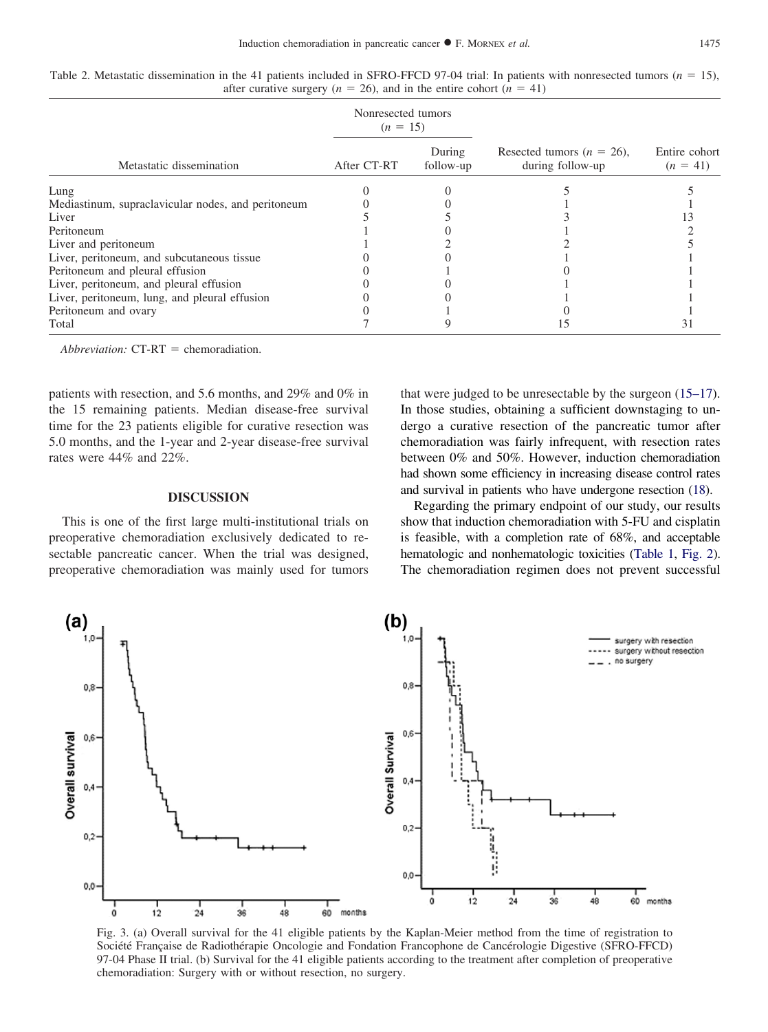|                                                    | Nonresected tumors<br>$(n = 15)$ |                     |                                                   |                             |
|----------------------------------------------------|----------------------------------|---------------------|---------------------------------------------------|-----------------------------|
| Metastatic dissemination                           | After CT-RT                      | During<br>follow-up | Resected tumors ( $n = 26$ ),<br>during follow-up | Entire cohort<br>$(n = 41)$ |
| Lung                                               |                                  |                     |                                                   |                             |
| Mediastinum, supraclavicular nodes, and peritoneum |                                  |                     |                                                   |                             |
| Liver                                              |                                  |                     |                                                   |                             |
| Peritoneum                                         |                                  |                     |                                                   |                             |
| Liver and peritoneum                               |                                  |                     |                                                   |                             |
| Liver, peritoneum, and subcutaneous tissue         |                                  |                     |                                                   |                             |
| Peritoneum and pleural effusion                    |                                  |                     |                                                   |                             |
| Liver, peritoneum, and pleural effusion            |                                  |                     |                                                   |                             |
| Liver, peritoneum, lung, and pleural effusion      |                                  |                     |                                                   |                             |
| Peritoneum and ovary                               |                                  |                     |                                                   |                             |
| Total                                              |                                  |                     |                                                   |                             |

<span id="page-4-0"></span>Table 2. Metastatic dissemination in the 41 patients included in SFRO-FFCD 97-04 trial: In patients with nonresected tumors  $(n = 15)$ , after curative surgery ( $n = 26$ ), and in the entire cohort ( $n = 41$ )

*Abbreviation:* CT-RT = chemoradiation.

patients with resection, and 5.6 months, and 29% and 0% in the 15 remaining patients. Median disease-free survival time for the 23 patients eligible for curative resection was 5.0 months, and the 1-year and 2-year disease-free survival rates were 44% and 22%.

#### **DISCUSSION**

This is one of the first large multi-institutional trials on preoperative chemoradiation exclusively dedicated to resectable pancreatic cancer. When the trial was designed, preoperative chemoradiation was mainly used for tumors

that were judged to be unresectable by the surgeon [\(15–17\)](#page-6-0). In those studies, obtaining a sufficient downstaging to undergo a curative resection of the pancreatic tumor after chemoradiation was fairly infrequent, with resection rates between 0% and 50%. However, induction chemoradiation had shown some efficiency in increasing disease control rates and survival in patients who have undergone resection [\(18\)](#page-6-0).

Regarding the primary endpoint of our study, our results show that induction chemoradiation with 5-FU and cisplatin is feasible, with a completion rate of 68%, and acceptable hematologic and nonhematologic toxicities [\(Table 1,](#page-3-0) [Fig. 2\)](#page-2-0). The chemoradiation regimen does not prevent successful



Fig. 3. (a) Overall survival for the 41 eligible patients by the Kaplan-Meier method from the time of registration to Société Française de Radiothérapie Oncologie and Fondation Francophone de Cancérologie Digestive (SFRO-FFCD) 97-04 Phase II trial. (b) Survival for the 41 eligible patients according to the treatment after completion of preoperative chemoradiation: Surgery with or without resection, no surgery.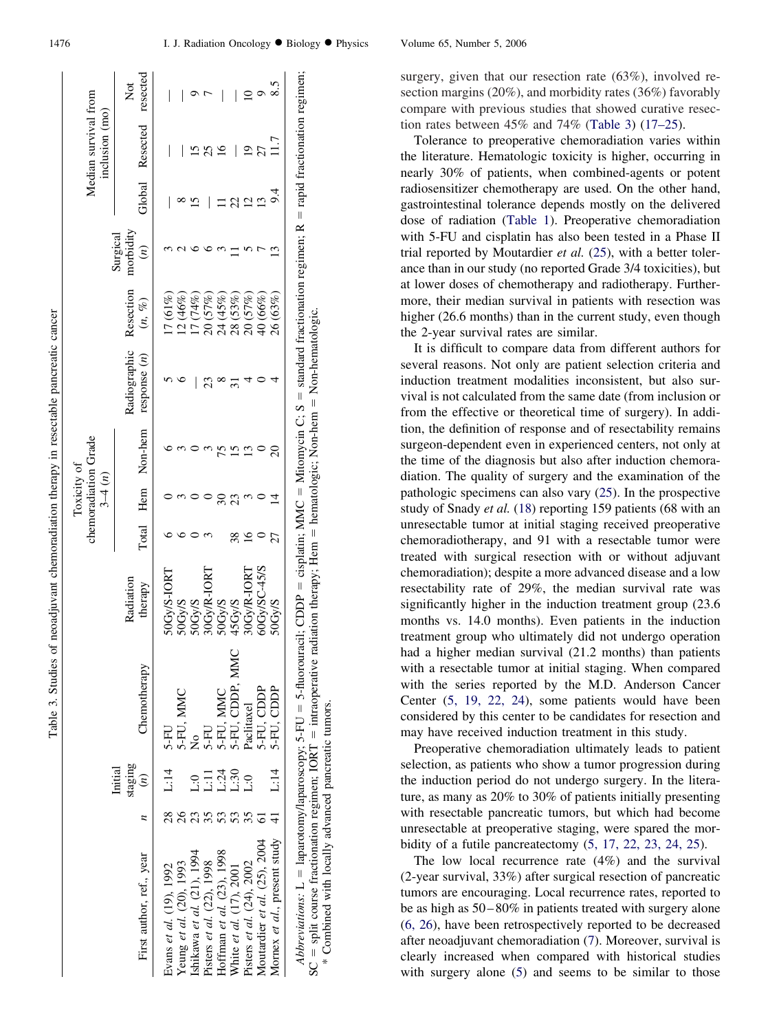<span id="page-5-0"></span>

|                                          |                    |                                            |                       |       | $3 - 4(n)$ |         |              |             |                        |               | inclusion (mo)  |          |
|------------------------------------------|--------------------|--------------------------------------------|-----------------------|-------|------------|---------|--------------|-------------|------------------------|---------------|-----------------|----------|
|                                          | staging<br>Initial |                                            | Radiation             |       |            |         | Radiographic | Resection   | morbidity<br>Surgical  |               |                 | Not      |
| First author, ref., year                 | $\binom{n}{k}$     | Chemotherapy                               | therapy               | Total | Hem        | Non-hem | respose(n)   | $(n, \, \%$ | $\widehat{\mathbf{z}}$ |               | Global Resected | resected |
| $\frac{8}{2}$<br>Evans et al. (19), 1992 | L:14               | 5-FU                                       | OGv/S-IORT            |       |            |         |              | 7(61%)      |                        |               |                 |          |
| $\frac{8}{2}$<br>Yeung et al. (20), 1993 |                    | 5-FU, MMC                                  | OGy/S                 |       |            |         |              | $12(46\%)$  |                        |               |                 |          |
| shikawa et al. (21), 1994                | 0:1                | ş                                          | $0$ Gy/ $S$           |       |            |         |              | 74%)        |                        |               |                 |          |
| Pisters et al. (22), 1998                | $\Xi$              | 5-FU                                       | OG <sub>V</sub> R-IOR |       |            |         |              | 20 (57%)    |                        |               |                 |          |
| Hoffman <i>et al.</i> $(23)$ , 1998      |                    |                                            | $0$ Gy $S$            |       |            |         |              | 24 (45%)    |                        |               |                 |          |
| White et al. (17), 2001                  | 136<br>136<br>136  | 5-FU, MMC<br>5-FU, CDDP, MMC<br>Paclitaxel | 5Gy/S                 | 38    | 23         |         |              | $28(53\%)$  |                        | င့်           |                 |          |
| Pisters et al. (24), 2002                |                    |                                            | <b>SOGVR-IOR</b>      |       |            |         |              | $20(57\%)$  |                        | $\frac{1}{2}$ |                 |          |
| Moutardier et al. (25), 2004             |                    | 5-FU, CDDP                                 | 0Gy/SC-45/S           |       |            |         |              | $40 (66\%)$ |                        | ≌             |                 |          |
| Mornex et al., present study             | L:14               | 5-FU, CDDP                                 | <b>S/ADO:</b>         |       |            |         |              | 26(63%)     |                        |               |                 |          |

\* Combined with locally advanced pancreatic tumors.

Combined with locally advanced pancreatic tumors

section margins (20%), and morbidity rates (36%) favorably compare with previous studies that showed curative resection rates between 45% and 74% (Table 3) [\(17–25\)](#page-6-0). Tolerance to preoperative chemoradiation varies within the literature. Hematologic toxicity is higher, occurring in nearly 30% of patients, when combined-agents or potent radiosensitizer chemotherapy are used. On the other hand, gastrointestinal tolerance depends mostly on the delivered dose of radiation [\(Table 1\)](#page-3-0). Preoperative chemoradiation with 5-FU and cisplatin has also been tested in a Phase II trial reported by Moutardier *et al.* [\(25\)](#page-7-0), with a better tolerance than in our study (no reported Grade 3/4 toxicities), but at lower doses of chemotherapy and radiotherapy. Furthermore, their median survival in patients with resection was

higher (26.6 months) than in the current study, even though

surgery, given that our resection rate (63%), involved re-

the 2-year survival rates are similar. It is difficult to compare data from different authors for several reasons. Not only are patient selection criteria and induction treatment modalities inconsistent, but also survival is not calculated from the same date (from inclusion or from the effective or theoretical time of surgery). In addition, the definition of response and of resectability remains surgeon-dependent even in experienced centers, not only at the time of the diagnosis but also after induction chemoradiation. The quality of surgery and the examination of the pathologic specimens can also vary [\(25\)](#page-7-0). In the prospective study of Snady *et al.* [\(18\)](#page-6-0) reporting 159 patients (68 with an unresectable tumor at initial staging received preoperative chemoradiotherapy, and 91 with a resectable tumor were treated with surgical resection with or without adjuvant chemoradiation); despite a more advanced disease and a low resectability rate of 29%, the median survival rate was significantly higher in the induction treatment group  $(23.6)$ months vs. 14.0 months). Even patients in the induction treatment group who ultimately did not undergo operation had a higher median survival (21.2 months) than patients with a resectable tumor at initial staging. When compared with the series reported by the M.D. Anderson Cancer Center [\(5, 19, 22, 24\)](#page-6-0), some patients would have been considered by this center to be candidates for resection and may have received induction treatment in this study.

Preoperative chemoradiation ultimately leads to patient selection, as patients who show a tumor progression during the induction period do not undergo surgery. In the literature, as many as 20% to 30% of patients initially presenting with resectable pancreatic tumors, but which had become unresectable at preoperative staging, were spared the morbidity of a futile pancreatectomy [\(5, 17, 22, 23, 24, 25\)](#page-6-0).

The low local recurrence rate (4%) and the survival (2-year survival, 33%) after surgical resection of pancreatic tumors are encouraging. Local recurrence rates, reported to be as high as 50–80% in patients treated with surgery alone [\(6, 26\)](#page-6-0), have been retrospectively reported to be decreased after neoadjuvant chemoradiation [\(7\)](#page-6-0). Moreover, survival is clearly increased when compared with historical studies with surgery alone [\(5\)](#page-6-0) and seems to be similar to those

Table 3. Studies of neoadjuvant chemoradiation therapy in resectable pancreatic cancer

Table 3. Studies of neoadjuvant chemoradiation therapy in resectable pancreatic cancer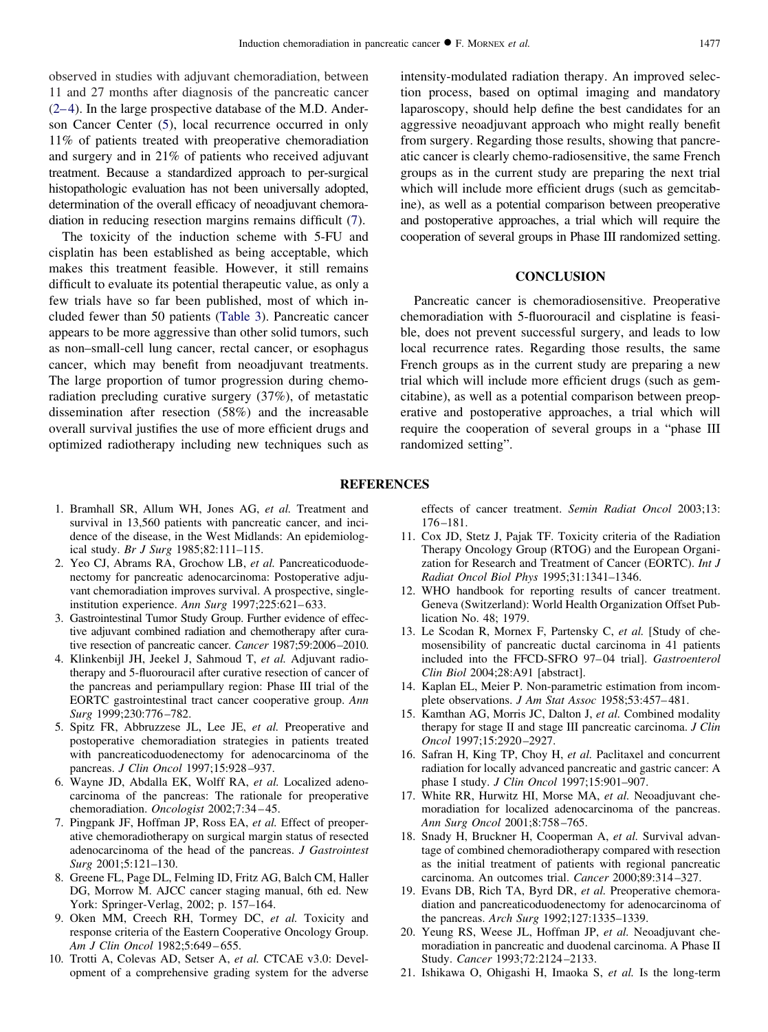<span id="page-6-0"></span>observed in studies with adjuvant chemoradiation, between 11 and 27 months after diagnosis of the pancreatic cancer (2–4). In the large prospective database of the M.D. Anderson Cancer Center (5), local recurrence occurred in only 11% of patients treated with preoperative chemoradiation and surgery and in 21% of patients who received adjuvant treatment. Because a standardized approach to per-surgical histopathologic evaluation has not been universally adopted, determination of the overall efficacy of neoadjuvant chemoradiation in reducing resection margins remains difficult (7).

The toxicity of the induction scheme with 5-FU and cisplatin has been established as being acceptable, which makes this treatment feasible. However, it still remains difficult to evaluate its potential therapeutic value, as only a few trials have so far been published, most of which included fewer than 50 patients [\(Table 3\)](#page-5-0). Pancreatic cancer appears to be more aggressive than other solid tumors, such as non–small-cell lung cancer, rectal cancer, or esophagus cancer, which may benefit from neoadjuvant treatments. The large proportion of tumor progression during chemoradiation precluding curative surgery (37%), of metastatic dissemination after resection (58%) and the increasable overall survival justifies the use of more efficient drugs and optimized radiotherapy including new techniques such as

- 1. Bramhall SR, Allum WH, Jones AG, *et al.* Treatment and survival in 13,560 patients with pancreatic cancer, and incidence of the disease, in the West Midlands: An epidemiological study. *Br J Surg* 1985;82:111–115.
- 2. Yeo CJ, Abrams RA, Grochow LB, *et al.* Pancreaticoduodenectomy for pancreatic adenocarcinoma: Postoperative adjuvant chemoradiation improves survival. A prospective, singleinstitution experience. *Ann Surg* 1997;225:621–633.
- 3. Gastrointestinal Tumor Study Group. Further evidence of effective adjuvant combined radiation and chemotherapy after curative resection of pancreatic cancer. *Cancer* 1987;59:2006–2010.
- 4. Klinkenbijl JH, Jeekel J, Sahmoud T, *et al.* Adjuvant radiotherapy and 5-fluorouracil after curative resection of cancer of the pancreas and periampullary region: Phase III trial of the EORTC gastrointestinal tract cancer cooperative group. *Ann Surg* 1999;230:776–782.
- 5. Spitz FR, Abbruzzese JL, Lee JE, *et al.* Preoperative and postoperative chemoradiation strategies in patients treated with pancreaticoduodenectomy for adenocarcinoma of the pancreas. *J Clin Oncol* 1997;15:928–937.
- 6. Wayne JD, Abdalla EK, Wolff RA, *et al.* Localized adenocarcinoma of the pancreas: The rationale for preoperative chemoradiation. *Oncologist* 2002;7:34–45.
- 7. Pingpank JF, Hoffman JP, Ross EA, *et al.* Effect of preoperative chemoradiotherapy on surgical margin status of resected adenocarcinoma of the head of the pancreas. *J Gastrointest Surg* 2001;5:121–130.
- 8. Greene FL, Page DL, Felming ID, Fritz AG, Balch CM, Haller DG, Morrow M. AJCC cancer staging manual, 6th ed. New York: Springer-Verlag, 2002; p. 157–164.
- 9. Oken MM, Creech RH, Tormey DC, *et al.* Toxicity and response criteria of the Eastern Cooperative Oncology Group. *Am J Clin Oncol* 1982;5:649–655.
- 10. Trotti A, Colevas AD, Setser A, *et al.* CTCAE v3.0: Development of a comprehensive grading system for the adverse

intensity-modulated radiation therapy. An improved selection process, based on optimal imaging and mandatory laparoscopy, should help define the best candidates for an aggressive neoadjuvant approach who might really benefit from surgery. Regarding those results, showing that pancreatic cancer is clearly chemo-radiosensitive, the same French groups as in the current study are preparing the next trial which will include more efficient drugs (such as gemeitabine), as well as a potential comparison between preoperative and postoperative approaches, a trial which will require the cooperation of several groups in Phase III randomized setting.

# **CONCLUSION**

Pancreatic cancer is chemoradiosensitive. Preoperative chemoradiation with 5-fluorouracil and cisplatine is feasible, does not prevent successful surgery, and leads to low local recurrence rates. Regarding those results, the same French groups as in the current study are preparing a new trial which will include more efficient drugs (such as gemcitabine), as well as a potential comparison between preoperative and postoperative approaches, a trial which will require the cooperation of several groups in a "phase III randomized setting".

#### **REFERENCES**

effects of cancer treatment. *Semin Radiat Oncol* 2003;13: 176–181.

- 11. Cox JD, Stetz J, Pajak TF. Toxicity criteria of the Radiation Therapy Oncology Group (RTOG) and the European Organization for Research and Treatment of Cancer (EORTC). *Int J Radiat Oncol Biol Phys* 1995;31:1341–1346.
- 12. WHO handbook for reporting results of cancer treatment. Geneva (Switzerland): World Health Organization Offset Publication No. 48; 1979.
- 13. Le Scodan R, Mornex F, Partensky C, *et al.* [Study of chemosensibility of pancreatic ductal carcinoma in 41 patients included into the FFCD-SFRO 97–04 trial]. *Gastroenterol Clin Biol* 2004;28:A91 [abstract].
- 14. Kaplan EL, Meier P. Non-parametric estimation from incomplete observations. *J Am Stat Assoc* 1958;53:457–481.
- 15. Kamthan AG, Morris JC, Dalton J, *et al.* Combined modality therapy for stage II and stage III pancreatic carcinoma. *J Clin Oncol* 1997;15:2920–2927.
- 16. Safran H, King TP, Choy H, *et al.* Paclitaxel and concurrent radiation for locally advanced pancreatic and gastric cancer: A phase I study. *J Clin Oncol* 1997;15:901–907.
- 17. White RR, Hurwitz HI, Morse MA, *et al.* Neoadjuvant chemoradiation for localized adenocarcinoma of the pancreas. *Ann Surg Oncol* 2001;8:758–765.
- 18. Snady H, Bruckner H, Cooperman A, *et al.* Survival advantage of combined chemoradiotherapy compared with resection as the initial treatment of patients with regional pancreatic carcinoma. An outcomes trial. *Cancer* 2000;89:314–327.
- 19. Evans DB, Rich TA, Byrd DR, *et al.* Preoperative chemoradiation and pancreaticoduodenectomy for adenocarcinoma of the pancreas. *Arch Surg* 1992;127:1335–1339.
- 20. Yeung RS, Weese JL, Hoffman JP, *et al.* Neoadjuvant chemoradiation in pancreatic and duodenal carcinoma. A Phase II Study. *Cancer* 1993;72:2124–2133.
- 21. Ishikawa O, Ohigashi H, Imaoka S, *et al.* Is the long-term